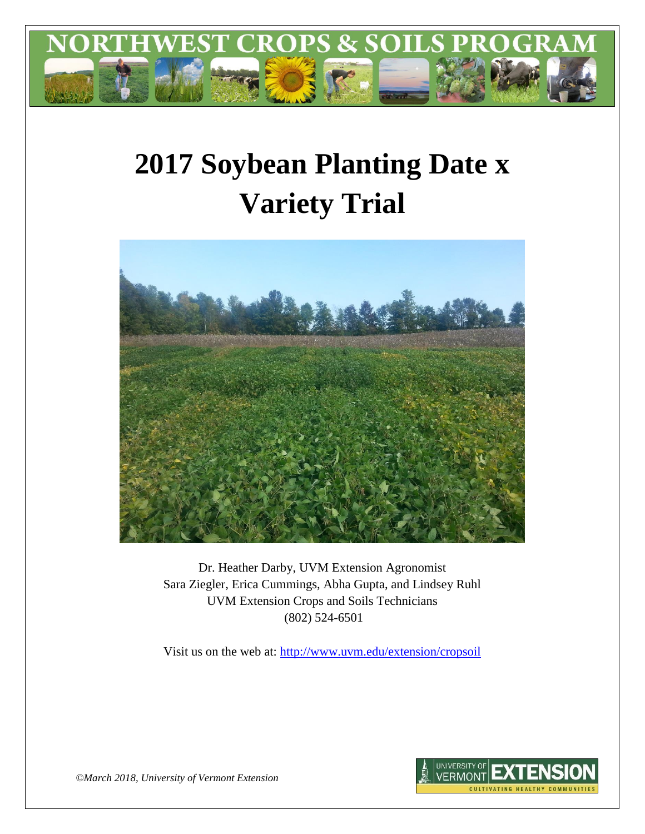

# **2017 Soybean Planting Date x Variety Trial**



Dr. Heather Darby, UVM Extension Agronomist Sara Ziegler, Erica Cummings, Abha Gupta, and Lindsey Ruhl UVM Extension Crops and Soils Technicians (802) 524-6501

Visit us on the web at: <http://www.uvm.edu/extension/cropsoil>



*©March 2018, University of Vermont Extension*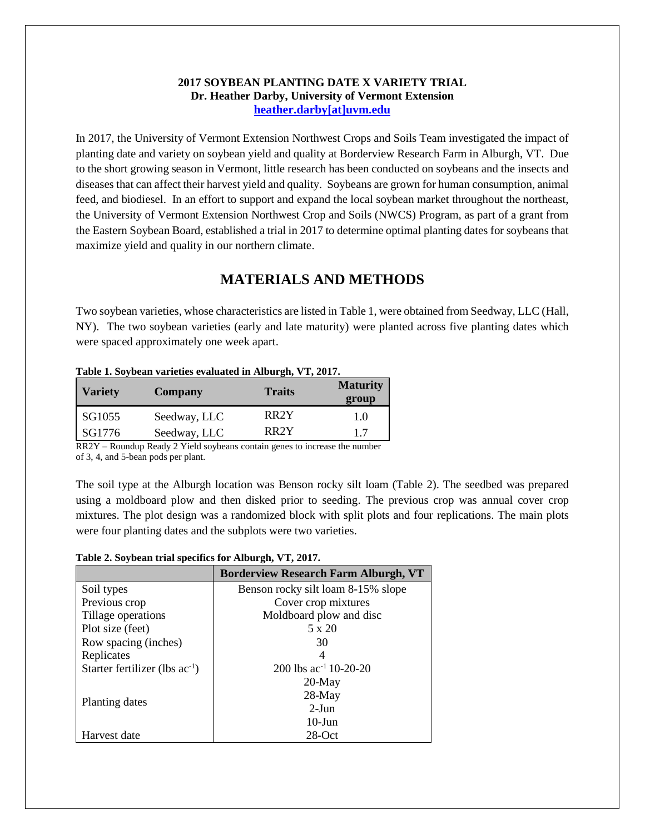#### **2017 SOYBEAN PLANTING DATE X VARIETY TRIAL Dr. Heather Darby, University of Vermont Extension [heather.darby\[at\]uvm.edu](mailto:heather.darby@uvm.edu?subject=2012%20Short%20Season%20Corn%20Report)**

In 2017, the University of Vermont Extension Northwest Crops and Soils Team investigated the impact of planting date and variety on soybean yield and quality at Borderview Research Farm in Alburgh, VT. Due to the short growing season in Vermont, little research has been conducted on soybeans and the insects and diseases that can affect their harvest yield and quality. Soybeans are grown for human consumption, animal feed, and biodiesel. In an effort to support and expand the local soybean market throughout the northeast, the University of Vermont Extension Northwest Crop and Soils (NWCS) Program, as part of a grant from the Eastern Soybean Board, established a trial in 2017 to determine optimal planting dates for soybeans that maximize yield and quality in our northern climate.

# **MATERIALS AND METHODS**

Two soybean varieties, whose characteristics are listed in Table 1, were obtained from Seedway, LLC (Hall, NY). The two soybean varieties (early and late maturity) were planted across five planting dates which were spaced approximately one week apart.

| <b>Variety</b> | Company      | <b>Traits</b>     | <b>Maturity</b><br>group |
|----------------|--------------|-------------------|--------------------------|
| SG1055         | Seedway, LLC | RR <sub>2</sub> Y | 1.0                      |
| SG1776         | Seedway, LLC | RR <sub>2</sub> Y | 17                       |

**Table 1. Soybean varieties evaluated in Alburgh, VT, 2017.**

RR2Y – Roundup Ready 2 Yield soybeans contain genes to increase the number of 3, 4, and 5-bean pods per plant.

The soil type at the Alburgh location was Benson rocky silt loam (Table 2). The seedbed was prepared using a moldboard plow and then disked prior to seeding. The previous crop was annual cover crop mixtures. The plot design was a randomized block with split plots and four replications. The main plots were four planting dates and the subplots were two varieties.

**Table 2. Soybean trial specifics for Alburgh, VT, 2017.**

|                                     | <b>Borderview Research Farm Alburgh, VT</b> |
|-------------------------------------|---------------------------------------------|
| Soil types                          | Benson rocky silt loam 8-15% slope          |
| Previous crop                       | Cover crop mixtures                         |
| Tillage operations                  | Moldboard plow and disc                     |
| Plot size (feet)                    | 5 x 20                                      |
| Row spacing (inches)                | 30                                          |
| Replicates                          | 4                                           |
| Starter fertilizer (lbs $ac^{-1}$ ) | 200 lbs $ac^{-1}$ 10-20-20                  |
|                                     | $20$ -May                                   |
|                                     | $28$ -May                                   |
| Planting dates                      | $2-J$ un                                    |
|                                     | $10$ -Jun                                   |
| Harvest date                        | $28$ -Oct                                   |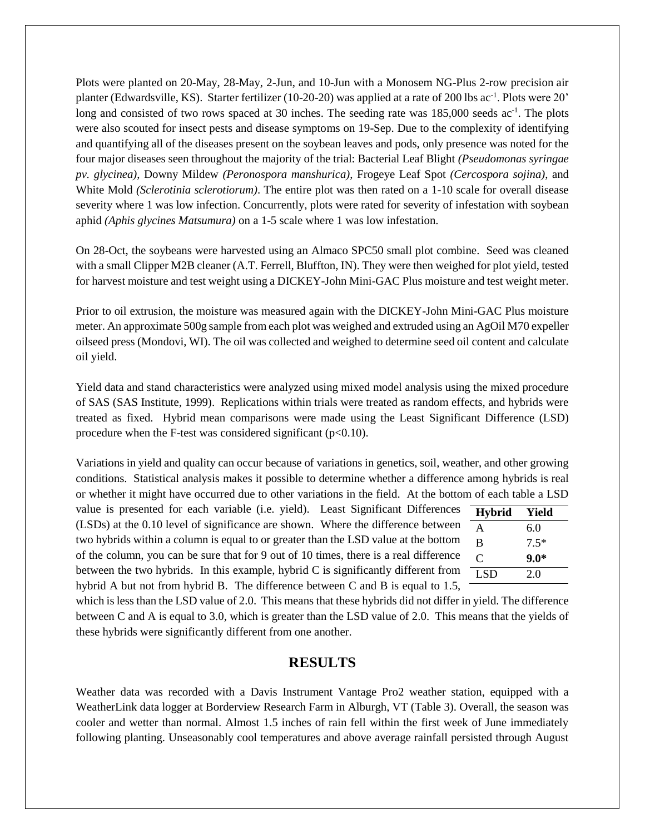Plots were planted on 20-May, 28-May, 2-Jun, and 10-Jun with a Monosem NG-Plus 2-row precision air planter (Edwardsville, KS). Starter fertilizer (10-20-20) was applied at a rate of 200 lbs ac<sup>-1</sup>. Plots were 20' long and consisted of two rows spaced at 30 inches. The seeding rate was 185,000 seeds ac<sup>-1</sup>. The plots were also scouted for insect pests and disease symptoms on 19-Sep. Due to the complexity of identifying and quantifying all of the diseases present on the soybean leaves and pods, only presence was noted for the four major diseases seen throughout the majority of the trial: Bacterial Leaf Blight *(Pseudomonas syringae pv. glycinea)*, Downy Mildew *(Peronospora manshurica)*, Frogeye Leaf Spot *(Cercospora sojina)*, and White Mold *(Sclerotinia sclerotiorum)*. The entire plot was then rated on a 1-10 scale for overall disease severity where 1 was low infection. Concurrently, plots were rated for severity of infestation with soybean aphid *(Aphis glycines Matsumura)* on a 1-5 scale where 1 was low infestation.

On 28-Oct, the soybeans were harvested using an Almaco SPC50 small plot combine. Seed was cleaned with a small Clipper M2B cleaner (A.T. Ferrell, Bluffton, IN). They were then weighed for plot yield, tested for harvest moisture and test weight using a DICKEY-John Mini-GAC Plus moisture and test weight meter.

Prior to oil extrusion, the moisture was measured again with the DICKEY-John Mini-GAC Plus moisture meter. An approximate 500g sample from each plot was weighed and extruded using an AgOil M70 expeller oilseed press (Mondovi, WI). The oil was collected and weighed to determine seed oil content and calculate oil yield.

Yield data and stand characteristics were analyzed using mixed model analysis using the mixed procedure of SAS (SAS Institute, 1999). Replications within trials were treated as random effects, and hybrids were treated as fixed. Hybrid mean comparisons were made using the Least Significant Difference (LSD) procedure when the F-test was considered significant  $(p<0.10)$ .

Variations in yield and quality can occur because of variations in genetics, soil, weather, and other growing conditions. Statistical analysis makes it possible to determine whether a difference among hybrids is real or whether it might have occurred due to other variations in the field. At the bottom of each table a LSD

value is presented for each variable (i.e. yield). Least Significant Differences (LSDs) at the 0.10 level of significance are shown. Where the difference between two hybrids within a column is equal to or greater than the LSD value at the bottom of the column, you can be sure that for 9 out of 10 times, there is a real difference between the two hybrids. In this example, hybrid C is significantly different from hybrid A but not from hybrid B. The difference between C and B is equal to 1.5,

| <b>Hybrid</b> | Yield  |
|---------------|--------|
| A             | 6.0    |
| B             | $7.5*$ |
| C             | $9.0*$ |
| LSD           | 2.0    |
|               |        |

which is less than the LSD value of 2.0. This means that these hybrids did not differ in yield. The difference between C and A is equal to 3.0, which is greater than the LSD value of 2.0. This means that the yields of these hybrids were significantly different from one another.

# **RESULTS**

Weather data was recorded with a Davis Instrument Vantage Pro2 weather station, equipped with a WeatherLink data logger at Borderview Research Farm in Alburgh, VT (Table 3). Overall, the season was cooler and wetter than normal. Almost 1.5 inches of rain fell within the first week of June immediately following planting. Unseasonably cool temperatures and above average rainfall persisted through August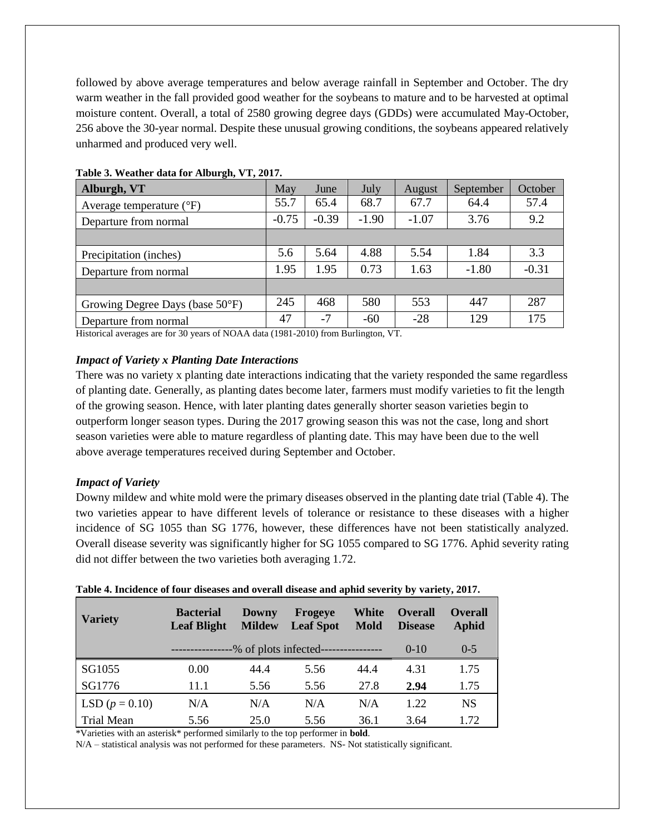followed by above average temperatures and below average rainfall in September and October. The dry warm weather in the fall provided good weather for the soybeans to mature and to be harvested at optimal moisture content. Overall, a total of 2580 growing degree days (GDDs) were accumulated May-October, 256 above the 30-year normal. Despite these unusual growing conditions, the soybeans appeared relatively unharmed and produced very well.

| Alburgh, VT                         | May     | June    | July    | <b>August</b> | September | October |
|-------------------------------------|---------|---------|---------|---------------|-----------|---------|
| Average temperature $({}^{\circ}F)$ | 55.7    | 65.4    | 68.7    | 67.7          | 64.4      | 57.4    |
| Departure from normal               | $-0.75$ | $-0.39$ | $-1.90$ | $-1.07$       | 3.76      | 9.2     |
|                                     |         |         |         |               |           |         |
| Precipitation (inches)              | 5.6     | 5.64    | 4.88    | 5.54          | 1.84      | 3.3     |
| Departure from normal               | 1.95    | 1.95    | 0.73    | 1.63          | $-1.80$   | $-0.31$ |
|                                     |         |         |         |               |           |         |
| Growing Degree Days (base 50°F)     | 245     | 468     | 580     | 553           | 447       | 287     |
| Departure from normal               | 47      | $-7$    | $-60$   | $-28$         | 129       | 175     |

#### **Table 3. Weather data for Alburgh, VT, 2017.**

Historical averages are for 30 years of NOAA data (1981-2010) from Burlington, VT.

#### *Impact of Variety x Planting Date Interactions*

There was no variety x planting date interactions indicating that the variety responded the same regardless of planting date. Generally, as planting dates become later, farmers must modify varieties to fit the length of the growing season. Hence, with later planting dates generally shorter season varieties begin to outperform longer season types. During the 2017 growing season this was not the case, long and short season varieties were able to mature regardless of planting date. This may have been due to the well above average temperatures received during September and October.

#### *Impact of Variety*

Downy mildew and white mold were the primary diseases observed in the planting date trial (Table 4). The two varieties appear to have different levels of tolerance or resistance to these diseases with a higher incidence of SG 1055 than SG 1776, however, these differences have not been statistically analyzed. Overall disease severity was significantly higher for SG 1055 compared to SG 1776. Aphid severity rating did not differ between the two varieties both averaging 1.72.

| <b>Variety</b>    | <b>Bacterial</b><br><b>Leaf Blight</b>              | Downy<br><b>Mildew</b> | <b>Frogeve</b><br><b>Leaf Spot</b> | White<br><b>Mold</b> | <b>Overall</b><br><b>Disease</b> | <b>Overall</b><br><b>Aphid</b> |
|-------------------|-----------------------------------------------------|------------------------|------------------------------------|----------------------|----------------------------------|--------------------------------|
|                   | ---------------% of plots infected----------------- |                        |                                    |                      | $(0-1()$                         | $() - 5$                       |
| SG1055            | 0.00                                                | 44.4                   | 5.56                               | 44.4                 | 4.31                             | 1.75                           |
| SG1776            | 11.1                                                | 5.56                   | 5.56                               | 27.8                 | 2.94                             | 1.75                           |
| LSD $(p = 0.10)$  | N/A                                                 | N/A                    | N/A                                | N/A                  | 1.22                             | <b>NS</b>                      |
| <b>Trial Mean</b> | 5.56                                                | 25.0                   | 5.56                               | 36.1                 | 3.64                             | 1.72                           |

#### **Table 4. Incidence of four diseases and overall disease and aphid severity by variety, 2017.**

\*Varieties with an asterisk\* performed similarly to the top performer in **bold**.

N/A – statistical analysis was not performed for these parameters. NS- Not statistically significant.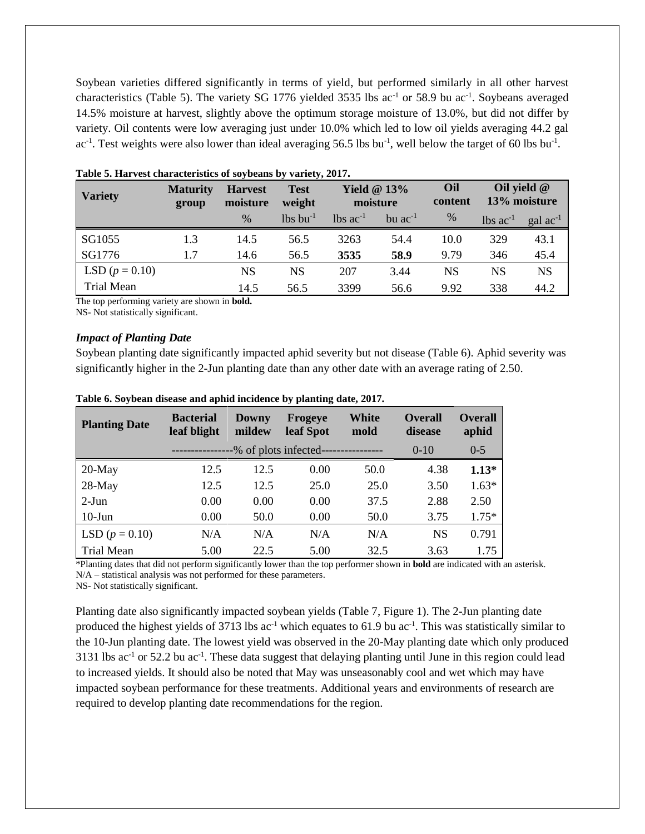Soybean varieties differed significantly in terms of yield, but performed similarly in all other harvest characteristics (Table 5). The variety SG 1776 yielded 3535 lbs ac<sup>-1</sup> or 58.9 bu ac<sup>-1</sup>. Soybeans averaged 14.5% moisture at harvest, slightly above the optimum storage moisture of 13.0%, but did not differ by variety. Oil contents were low averaging just under 10.0% which led to low oil yields averaging 44.2 gal ac<sup>-1</sup>. Test weights were also lower than ideal averaging 56.5 lbs bu<sup>-1</sup>, well below the target of 60 lbs bu<sup>-1</sup>.

| <b>Variety</b>    | <b>Maturity</b><br>group | <b>Harvest</b><br>moisture | <b>Test</b><br>weight  | Yield $@13\%$<br>moisture      |                | Oil<br>content |                        | Oil yield $@$<br>13% moisture |
|-------------------|--------------------------|----------------------------|------------------------|--------------------------------|----------------|----------------|------------------------|-------------------------------|
|                   |                          | $\%$                       | $lbs$ bu <sup>-1</sup> | $\lambda$ lbs ac <sup>-1</sup> | $bu$ $ac^{-1}$ | $\%$           | $lbs$ ac <sup>-1</sup> | $\rm gal$ ac <sup>-1</sup>    |
| SG1055            | 1.3                      | 14.5                       | 56.5                   | 3263                           | 54.4           | 10.0           | 329                    | 43.1                          |
| SG1776            | 1.7                      | 14.6                       | 56.5                   | 3535                           | 58.9           | 9.79           | 346                    | 45.4                          |
| LSD $(p = 0.10)$  |                          | <b>NS</b>                  | NS                     | 207                            | 3.44           | NS             | NS                     | <b>NS</b>                     |
| <b>Trial Mean</b> |                          | 14.5                       | 56.5                   | 3399                           | 56.6           | 9.92           | 338                    | 44.2                          |

| Table 5. Harvest characteristics of soybeans by variety, 2017. |  |  |  |  |  |  |
|----------------------------------------------------------------|--|--|--|--|--|--|
|----------------------------------------------------------------|--|--|--|--|--|--|

The top performing variety are shown in **bold.** 

NS- Not statistically significant.

#### *Impact of Planting Date*

Soybean planting date significantly impacted aphid severity but not disease (Table 6). Aphid severity was significantly higher in the 2-Jun planting date than any other date with an average rating of 2.50.

| <b>Planting Date</b> | <b>Bacterial</b><br>leaf blight | <b>Frogeye</b><br><b>Downy</b><br>mildew<br>leaf Spot |      | White<br>mold | <b>Overall</b><br>disease | <b>Overall</b><br>aphid |
|----------------------|---------------------------------|-------------------------------------------------------|------|---------------|---------------------------|-------------------------|
|                      |                                 | -% of plots infected-                                 |      |               | $0-10$                    | $0-5$                   |
| $20$ -May            | 12.5                            | 12.5                                                  | 0.00 | 50.0          | 4.38                      | $1.13*$                 |
| 28-May               | 12.5                            | 12.5                                                  | 25.0 | 25.0          | 3.50                      | $1.63*$                 |
| $2-Jun$              | 0.00                            | 0.00                                                  | 0.00 | 37.5          | 2.88                      | 2.50                    |
| $10$ -Jun            | 0.00                            | 50.0                                                  | 0.00 | 50.0          | 3.75                      | $1.75*$                 |
| LSD $(p = 0.10)$     | N/A                             | N/A                                                   | N/A  | N/A           | <b>NS</b>                 | 0.791                   |
| <b>Trial Mean</b>    | 5.00                            | 22.5                                                  | 5.00 | 32.5          | 3.63                      | 1.75                    |

#### **Table 6. Soybean disease and aphid incidence by planting date, 2017.**

\*Planting dates that did not perform significantly lower than the top performer shown in **bold** are indicated with an asterisk. N/A – statistical analysis was not performed for these parameters. NS- Not statistically significant.

Planting date also significantly impacted soybean yields (Table 7, Figure 1). The 2-Jun planting date produced the highest yields of 3713 lbs ac<sup>-1</sup> which equates to 61.9 bu ac<sup>-1</sup>. This was statistically similar to the 10-Jun planting date. The lowest yield was observed in the 20-May planting date which only produced 3131 lbs  $ac^{-1}$  or 52.2 bu  $ac^{-1}$ . These data suggest that delaying planting until June in this region could lead to increased yields. It should also be noted that May was unseasonably cool and wet which may have impacted soybean performance for these treatments. Additional years and environments of research are required to develop planting date recommendations for the region.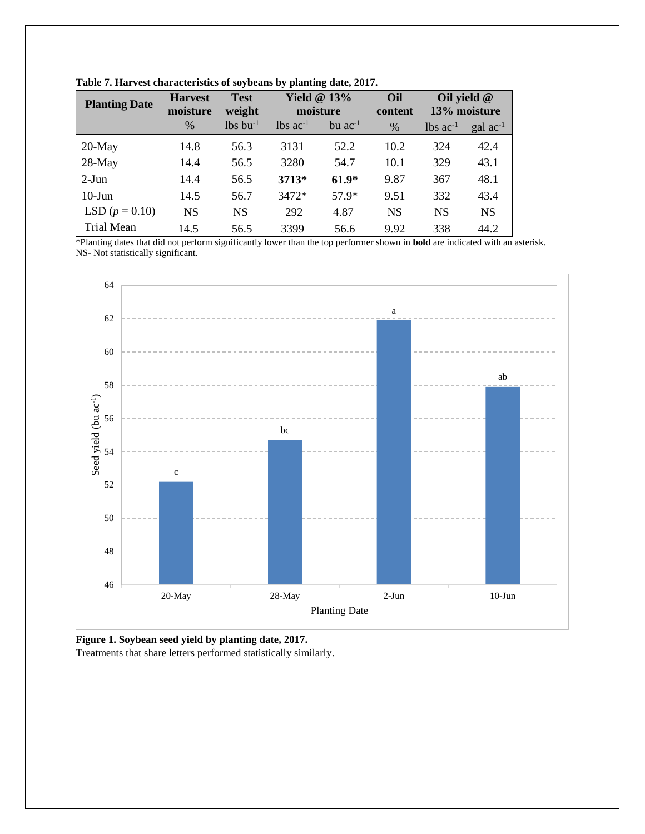| <b>Planting Date</b> | <b>Harvest</b><br>moisture | <b>Test</b><br>weight  | Yield $@13%$<br>moisture      |                | Oil<br>content | Oil yield @            | 13% moisture         |
|----------------------|----------------------------|------------------------|-------------------------------|----------------|----------------|------------------------|----------------------|
|                      | $\frac{0}{0}$              | $lbs$ bu <sup>-1</sup> | $\text{lbs}$ ac <sup>-1</sup> | $bu$ $ac^{-1}$ | $\%$           | $lbs$ ac <sup>-1</sup> | $\text{gal ac}^{-1}$ |
| $20$ -May            | 14.8                       | 56.3                   | 3131                          | 52.2           | 10.2           | 324                    | 42.4                 |
| $28-May$             | 14.4                       | 56.5                   | 3280                          | 54.7           | 10.1           | 329                    | 43.1                 |
| $2-Jun$              | 14.4                       | 56.5                   | 3713*                         | $61.9*$        | 9.87           | 367                    | 48.1                 |
| $10-J$ un            | 14.5                       | 56.7                   | 3472*                         | $57.9*$        | 9.51           | 332                    | 43.4                 |
| LSD $(p = 0.10)$     | <b>NS</b>                  | <b>NS</b>              | 292                           | 4.87           | <b>NS</b>      | <b>NS</b>              | <b>NS</b>            |
| <b>Trial Mean</b>    | 14.5                       | 56.5                   | 3399                          | 56.6           | 9.92           | 338                    | 44.2                 |

**Table 7. Harvest characteristics of soybeans by planting date, 2017.**

\*Planting dates that did not perform significantly lower than the top performer shown in **bold** are indicated with an asterisk. NS- Not statistically significant.



**Figure 1. Soybean seed yield by planting date, 2017.** Treatments that share letters performed statistically similarly.